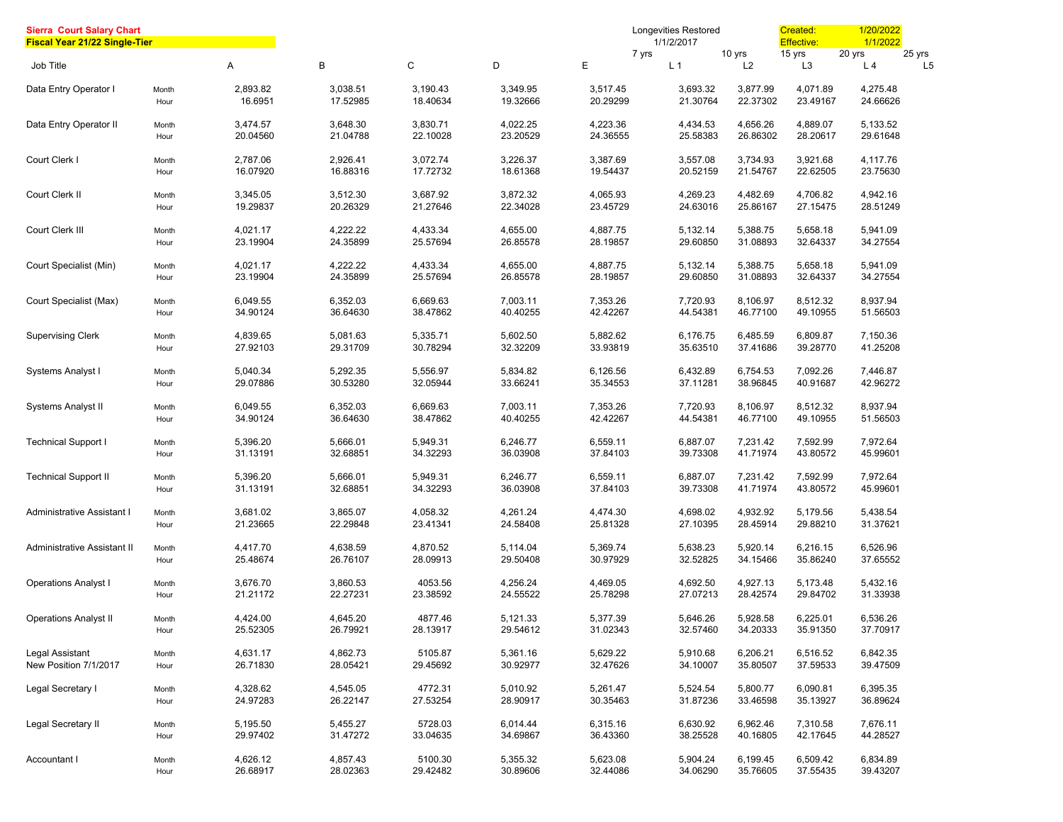| <b>Sierra Court Salary Chart</b><br><b>Fiscal Year 21/22 Single-Tier</b> |               |                      |                      |                      |                      |                      | <b>Longevities Restored</b><br>1/1/2/2017 |                      | Created:<br><b>Effective:</b> | 1/20/2022<br>1/1/2022    |                          |
|--------------------------------------------------------------------------|---------------|----------------------|----------------------|----------------------|----------------------|----------------------|-------------------------------------------|----------------------|-------------------------------|--------------------------|--------------------------|
| Job Title                                                                |               | Α                    | В                    | С                    | D                    | Е                    | 7 yrs<br>L <sub>1</sub>                   | 10 yrs<br>L2         | 15 yrs<br>L <sub>3</sub>      | 20 yrs<br>L <sub>4</sub> | 25 yrs<br>L <sub>5</sub> |
| Data Entry Operator I                                                    | Month<br>Hour | 2,893.82<br>16.6951  | 3,038.51<br>17.52985 | 3,190.43<br>18.40634 | 3,349.95<br>19.32666 | 3,517.45<br>20.29299 | 3,693.32<br>21.30764                      | 3,877.99<br>22.37302 | 4,071.89<br>23.49167          | 4,275.48<br>24.66626     |                          |
| Data Entry Operator II                                                   | Month<br>Hour | 3,474.57<br>20.04560 | 3,648.30<br>21.04788 | 3,830.71<br>22.10028 | 4,022.25<br>23.20529 | 4,223.36<br>24.36555 | 4,434.53<br>25.58383                      | 4,656.26<br>26.86302 | 4,889.07<br>28.20617          | 5,133.52<br>29.61648     |                          |
| Court Clerk I                                                            | Month<br>Hour | 2,787.06<br>16.07920 | 2,926.41<br>16.88316 | 3,072.74<br>17.72732 | 3,226.37<br>18.61368 | 3,387.69<br>19.54437 | 3,557.08<br>20.52159                      | 3,734.93<br>21.54767 | 3,921.68<br>22.62505          | 4,117.76<br>23.75630     |                          |
| Court Clerk II                                                           | Month<br>Hour | 3,345.05<br>19.29837 | 3,512.30<br>20.26329 | 3,687.92<br>21.27646 | 3,872.32<br>22.34028 | 4,065.93<br>23.45729 | 4,269.23<br>24.63016                      | 4,482.69<br>25.86167 | 4,706.82<br>27.15475          | 4,942.16<br>28.51249     |                          |
| Court Clerk III                                                          | Month<br>Hour | 4,021.17<br>23.19904 | 4,222.22<br>24.35899 | 4,433.34<br>25.57694 | 4,655.00<br>26.85578 | 4,887.75<br>28.19857 | 5,132.14<br>29.60850                      | 5,388.75<br>31.08893 | 5,658.18<br>32.64337          | 5,941.09<br>34.27554     |                          |
| Court Specialist (Min)                                                   | Month<br>Hour | 4,021.17<br>23.19904 | 4,222.22<br>24.35899 | 4,433.34<br>25.57694 | 4,655.00<br>26.85578 | 4,887.75<br>28.19857 | 5,132.14<br>29.60850                      | 5,388.75<br>31.08893 | 5,658.18<br>32.64337          | 5,941.09<br>34.27554     |                          |
| Court Specialist (Max)                                                   | Month<br>Hour | 6,049.55<br>34.90124 | 6,352.03<br>36.64630 | 6,669.63<br>38.47862 | 7,003.11<br>40.40255 | 7,353.26<br>42.42267 | 7,720.93<br>44.54381                      | 8,106.97<br>46.77100 | 8,512.32<br>49.10955          | 8,937.94<br>51.56503     |                          |
| <b>Supervising Clerk</b>                                                 | Month<br>Hour | 4,839.65<br>27.92103 | 5,081.63<br>29.31709 | 5,335.71<br>30.78294 | 5,602.50<br>32.32209 | 5,882.62<br>33.93819 | 6,176.75<br>35.63510                      | 6,485.59<br>37.41686 | 6,809.87<br>39.28770          | 7,150.36<br>41.25208     |                          |
| Systems Analyst I                                                        | Month<br>Hour | 5,040.34<br>29.07886 | 5,292.35<br>30.53280 | 5,556.97<br>32.05944 | 5,834.82<br>33.66241 | 6,126.56<br>35.34553 | 6,432.89<br>37.11281                      | 6,754.53<br>38.96845 | 7,092.26<br>40.91687          | 7,446.87<br>42.96272     |                          |
| Systems Analyst II                                                       | Month<br>Hour | 6.049.55<br>34.90124 | 6,352.03<br>36.64630 | 6,669.63<br>38.47862 | 7,003.11<br>40.40255 | 7,353.26<br>42.42267 | 7,720.93<br>44.54381                      | 8,106.97<br>46.77100 | 8,512.32<br>49.10955          | 8,937.94<br>51.56503     |                          |
| <b>Technical Support I</b>                                               | Month<br>Hour | 5,396.20<br>31.13191 | 5,666.01<br>32.68851 | 5,949.31<br>34.32293 | 6,246.77<br>36.03908 | 6,559.11<br>37.84103 | 6,887.07<br>39.73308                      | 7,231.42<br>41.71974 | 7,592.99<br>43.80572          | 7,972.64<br>45.99601     |                          |
| <b>Technical Support II</b>                                              | Month<br>Hour | 5,396.20<br>31.13191 | 5,666.01<br>32.68851 | 5,949.31<br>34.32293 | 6,246.77<br>36.03908 | 6,559.11<br>37.84103 | 6,887.07<br>39.73308                      | 7,231.42<br>41.71974 | 7,592.99<br>43.80572          | 7,972.64<br>45.99601     |                          |
| Administrative Assistant I                                               | Month<br>Hour | 3,681.02<br>21.23665 | 3,865.07<br>22.29848 | 4,058.32<br>23.41341 | 4,261.24<br>24.58408 | 4,474.30<br>25.81328 | 4,698.02<br>27.10395                      | 4,932.92<br>28.45914 | 5,179.56<br>29.88210          | 5,438.54<br>31.37621     |                          |
| Administrative Assistant II                                              | Month<br>Hour | 4,417.70<br>25.48674 | 4,638.59<br>26.76107 | 4,870.52<br>28.09913 | 5,114.04<br>29.50408 | 5,369.74<br>30.97929 | 5,638.23<br>32.52825                      | 5,920.14<br>34.15466 | 6,216.15<br>35.86240          | 6,526.96<br>37.65552     |                          |
| <b>Operations Analyst I</b>                                              | Month<br>Hour | 3,676.70<br>21.21172 | 3,860.53<br>22.27231 | 4053.56<br>23.38592  | 4,256.24<br>24.55522 | 4,469.05<br>25.78298 | 4,692.50<br>27.07213                      | 4,927.13<br>28.42574 | 5,173.48<br>29.84702          | 5,432.16<br>31.33938     |                          |
| <b>Operations Analyst II</b>                                             | Month<br>Hour | 4,424.00<br>25.52305 | 4,645.20<br>26.79921 | 4877.46<br>28.13917  | 5,121.33<br>29.54612 | 5,377.39<br>31.02343 | 5,646.26<br>32.57460                      | 5,928.58<br>34.20333 | 6,225.01<br>35.91350          | 6,536.26<br>37.70917     |                          |
| Legal Assistant<br>New Position 7/1/2017                                 | Month<br>Hour | 4,631.17<br>26.71830 | 4,862.73<br>28.05421 | 5105.87<br>29.45692  | 5,361.16<br>30.92977 | 5,629.22<br>32.47626 | 5,910.68<br>34.10007                      | 6,206.21<br>35.80507 | 6,516.52<br>37.59533          | 6,842.35<br>39.47509     |                          |
| Legal Secretary I                                                        | Month<br>Hour | 4,328.62<br>24.97283 | 4,545.05<br>26.22147 | 4772.31<br>27.53254  | 5,010.92<br>28.90917 | 5,261.47<br>30.35463 | 5,524.54<br>31.87236                      | 5,800.77<br>33.46598 | 6,090.81<br>35.13927          | 6,395.35<br>36.89624     |                          |
| Legal Secretary II                                                       | Month<br>Hour | 5,195.50<br>29.97402 | 5,455.27<br>31.47272 | 5728.03<br>33.04635  | 6,014.44<br>34.69867 | 6,315.16<br>36.43360 | 6,630.92<br>38.25528                      | 6,962.46<br>40.16805 | 7,310.58<br>42.17645          | 7,676.11<br>44.28527     |                          |
| Accountant I                                                             | Month<br>Hour | 4,626.12<br>26.68917 | 4,857.43<br>28.02363 | 5100.30<br>29.42482  | 5,355.32<br>30.89606 | 5,623.08<br>32.44086 | 5,904.24<br>34.06290                      | 6,199.45<br>35.76605 | 6,509.42<br>37.55435          | 6,834.89<br>39.43207     |                          |